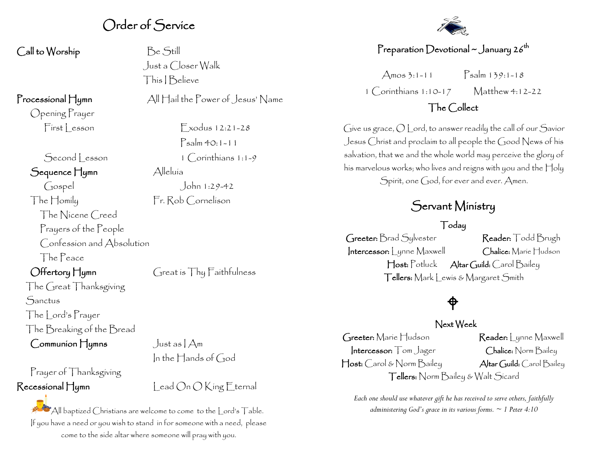### Order of Service

Call to Worship Be Still

Opening Prayer

Sequence Hymn Alleluía

Gospel John 1:29-42 The Homily Fr. Rob Cornelison The Nicene Creed Prayers of the People Confession and Absolution The Peace

The Great Thanksgiving **Sanctus** The | ord's Prayer The Breaking of the Bread

 $Common$   $H_{\text{Vmm}}$  Just as  $A_{\text{m}}$ 

# Prayer of Thanksgiving

 Just a Closer Walk This I Believe

Processional Hymn All Hail the Power of Jesus' Name

 $First less on$  Exodus 12:21-28 Psalm 40:1-11 Second lesson 1 Corinthians 1:1-9

Offertory Hymn Great is Thy Faithfulness

In the Hands of God

 $\mathsf{Recessional}\nparallel$ umn  $\mathsf{Lead}\nolimits\mathsf{On}\nolimits\mathsf{OK}$ ing Eternal

All baptized Christians are welcome to come to the Lord's Table. If you have a need or you wish to stand in for someone with a need, please come to the side altar where someone will pray with you.



#### Preparation Devotional  $\sim$  January 26<sup>th</sup>

Amos 3:1-11  $\sum_{n=1}^{\infty}$  Psalm 139:1-18 1 Corinthians 1:10-17 Matthew 4:12-22

#### The Collect

Give us grace, O Lord, to answer readily the call of our Savior Jesus Christ and proclaim to all people the Good News of his salvation, that we and the whole world may perceive the glory of his marvelous works; who lives and reigns with you and the Holy Spirit, one God, for ever and ever. Amen.

### Servant Ministry

#### Today

Greeter: Brad Sylvester Reader: Todd Brugh Intercessor: Lynne Maxwell Chalice: Marie Hudson Host: Potluck Altar Guild: Carol Bailey Tellers: Mark Lewis & Margaret Smith

## $\bigoplus$

#### Next Week

Greeter: Marie Hudson Reader: Lynne Maxwell Intercessor: Tom Jager Chalice: Norm Bailey Host: Carol & Norm Bailey Altar Guild: Carol Bailey Tellers: Norm Bailey & Walt Sicard

*Each one should use whatever gift he has received to serve others, faithfully administering God's grace in its various forms. ~ 1 Peter 4:10*